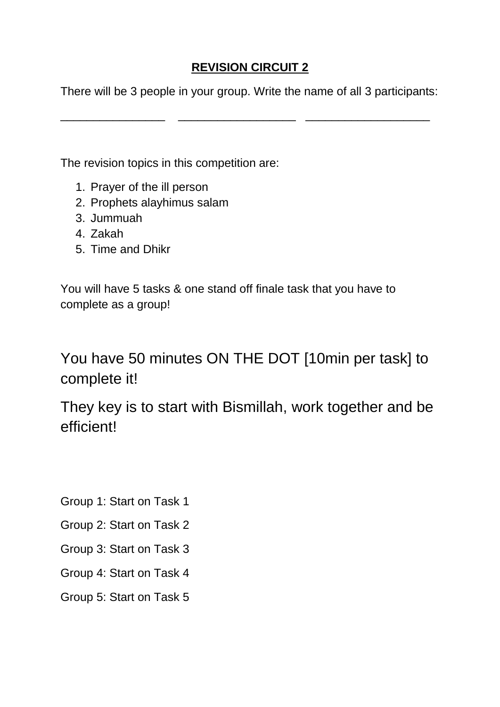### **REVISION CIRCUIT 2**

There will be 3 people in your group. Write the name of all 3 participants:

\_\_\_\_\_\_\_\_\_\_\_\_\_\_\_\_ \_\_\_\_\_\_\_\_\_\_\_\_\_\_\_\_\_\_ \_\_\_\_\_\_\_\_\_\_\_\_\_\_\_\_\_\_\_

The revision topics in this competition are:

- 1. Prayer of the ill person
- 2. Prophets alayhimus salam
- 3. Jummuah
- 4. Zakah
- 5. Time and Dhikr

You will have 5 tasks & one stand off finale task that you have to complete as a group!

You have 50 minutes ON THE DOT [10min per task] to complete it!

They key is to start with Bismillah, work together and be efficient!

Group 1: Start on Task 1

Group 2: Start on Task 2

Group 3: Start on Task 3

Group 4: Start on Task 4

Group 5: Start on Task 5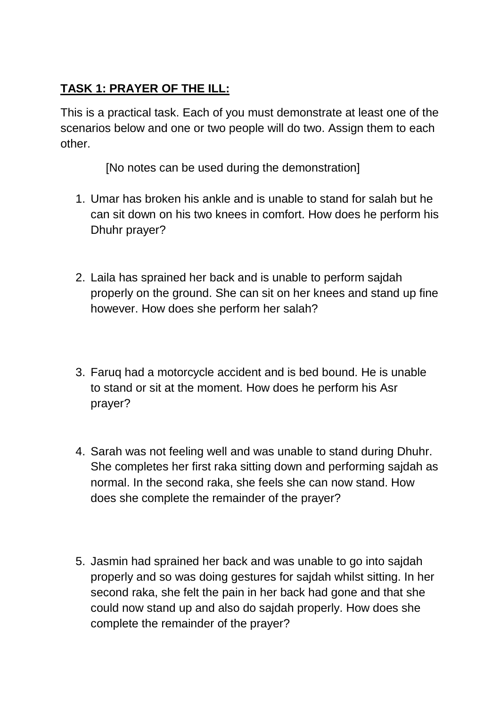### **TASK 1: PRAYER OF THE ILL:**

This is a practical task. Each of you must demonstrate at least one of the scenarios below and one or two people will do two. Assign them to each other.

[No notes can be used during the demonstration]

- 1. Umar has broken his ankle and is unable to stand for salah but he can sit down on his two knees in comfort. How does he perform his Dhuhr prayer?
- 2. Laila has sprained her back and is unable to perform sajdah properly on the ground. She can sit on her knees and stand up fine however. How does she perform her salah?
- 3. Faruq had a motorcycle accident and is bed bound. He is unable to stand or sit at the moment. How does he perform his Asr prayer?
- 4. Sarah was not feeling well and was unable to stand during Dhuhr. She completes her first raka sitting down and performing sajdah as normal. In the second raka, she feels she can now stand. How does she complete the remainder of the prayer?
- 5. Jasmin had sprained her back and was unable to go into sajdah properly and so was doing gestures for sajdah whilst sitting. In her second raka, she felt the pain in her back had gone and that she could now stand up and also do sajdah properly. How does she complete the remainder of the prayer?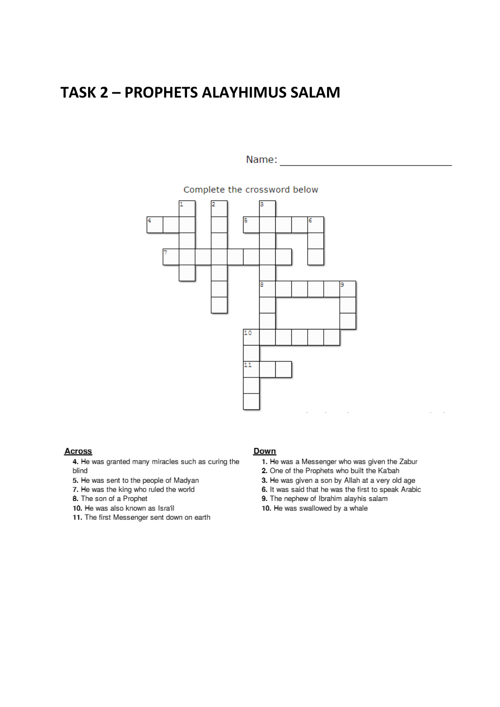## **TASK 2 - PROPHETS ALAYHIMUS SALAM**

#### Name:  $\frac{1}{\sqrt{1-\frac{1}{1-\frac{1}{1-\frac{1}{1-\frac{1}{1-\frac{1}{1-\frac{1}{1-\frac{1}{1-\frac{1}{1-\frac{1}{1-\frac{1}{1-\frac{1}{1-\frac{1}{1-\frac{1}{1-\frac{1}{1-\frac{1}{1-\frac{1}{1-\frac{1}{1-\frac{1}{1-\frac{1}{1-\frac{1}{1-\frac{1}{1-\frac{1}{1-\frac{1}{1-\frac{1}{1-\frac{1}{1-\frac{1}{1-\frac{1}{1-\frac{1}{1-\frac{1}{1-\frac{1}{1-\frac{1}{1-\frac{1}{1-\frac{1}{1-\frac{1}{1-\$





#### **Across**

- 4. He was granted many miracles such as curing the blind
- 5. He was sent to the people of Madyan
- 7. He was the king who ruled the world
- 8. The son of a Prophet
- 10. He was also known as Isra'il
- 11. The first Messenger sent down on earth

#### Down

- 1. He was a Messenger who was given the Zabur
- 2. One of the Prophets who built the Ka'bah
- 3. He was given a son by Allah at a very old age
- 6. It was said that he was the first to speak Arabic
- 9. The nephew of Ibrahim alayhis salam
- 10. He was swallowed by a whale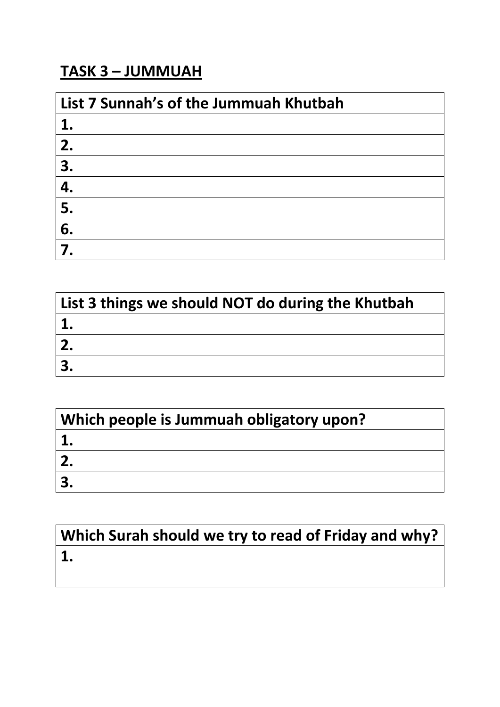## **TASK 3 – JUMMUAH**

| List 7 Sunnah's of the Jummuah Khutbah |  |
|----------------------------------------|--|
| 1.                                     |  |
| 2.                                     |  |
| 3.                                     |  |
| 4.                                     |  |
| 5.                                     |  |
| 6.                                     |  |
|                                        |  |

| List 3 things we should NOT do during the Khutbah |  |
|---------------------------------------------------|--|
|                                                   |  |
|                                                   |  |
|                                                   |  |

| Which people is Jummuah obligatory upon? |
|------------------------------------------|
|                                          |
|                                          |
|                                          |

# **Which Surah should we try to read of Friday and why? 1.**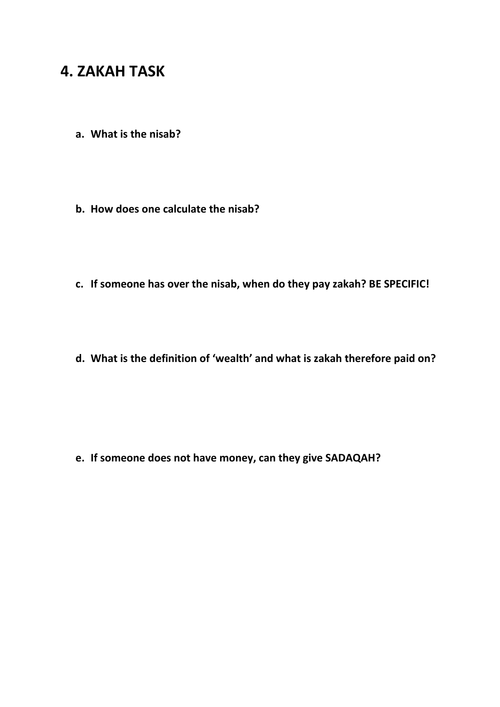## **4. ZAKAH TASK**

- **a. What is the nisab?**
- **b. How does one calculate the nisab?**
- **c. If someone has over the nisab, when do they pay zakah? BE SPECIFIC!**
- **d. What is the definition of 'wealth' and what is zakah therefore paid on?**

**e. If someone does not have money, can they give SADAQAH?**